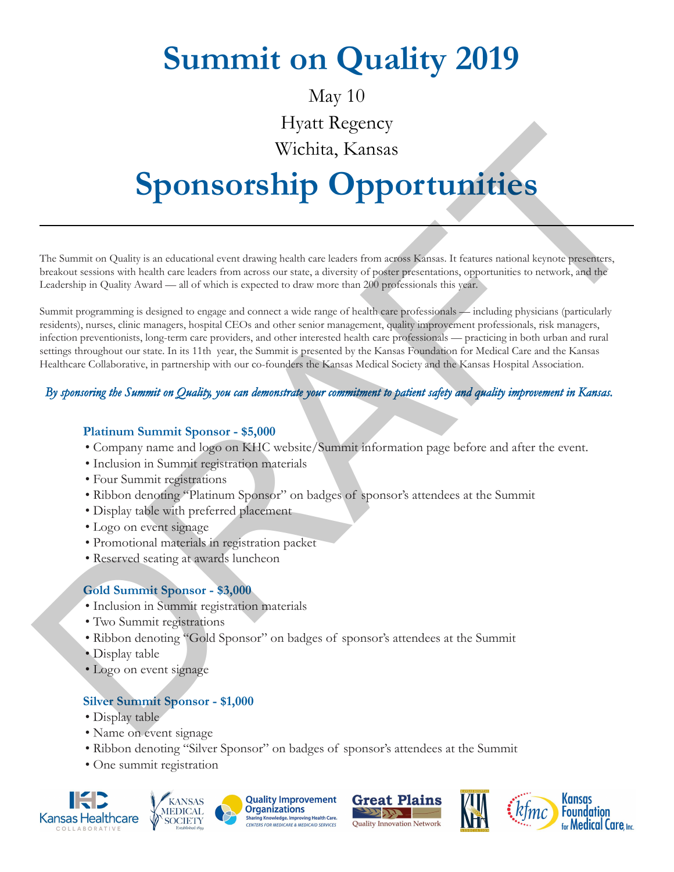# **Summit on Quality**

### May 10

### yatt Regency

## Wichita, Kansas

# **Sponsorship Opportunities**

#### $\bf PPQOQGFQOQGQOHOGQBFGQQQONQSQD$

EUNDOFDGPFGSSQQSSQQENQG

**GSQOSG** — all of which is expected to draw more than 200 professionals this year.

Summit programming is designed to engage and connect a wide range of health care professionals — including physicians, nurses, clinic managers, hospital CEOs and other senior management, uality improvement professionals, ris managers, infection preventionists, long-term care providers, and other interested health care professionals — practicing in both urban and rural settings throughout our state.  $\oplus$  [kg%h mUzhYG a a [h]gdfYghhXVmhY? UgUg: ci bXHcb Zef A YAW 7UYUbXhY? UgUg< YUh WY 7c``WcfUjj Yz]b dUfbYfg\]d k ]h\ ci f W!Zti bXYfgh\Y? UbdJgA YXJW GcV)YmUbXh\Y? UbdJg< cgd]lU 5ggtV][Ujcb" Find more information about the Summit at: KHConline.org/summit.

#### *By sponsoring the Summit on Quality, you can demonstrate your commitment to patient safety and quality improvement in Kansas.*

#### **Platinum Summit Sponsor - \$5,000**

- Company name and logo on Summit website information pages before and after the event
- Inclusion in Summit registration materials
- Four Summit registrations
- Ribbon denoting "Platinum Sponsor" on badges of sponsor's attendees at the Summit
- Display table with preferred placement
- Logo on event signage
- Promotional materials in registration packet
- Reserved seating at awards luncheon

#### **Gold Summit Sponsor - \$3,000**

- Inclusion in Summit registration materials
- Two Summit registrations
- Ribbon denoting "Gold Sponsor" on badges of sponsor's attendees at the Summit
- Display table
- Logo on event signage

#### **Silver Summit Sponsor - \$1,000**

- Display table
- Name on event signage
- Ribbon denoting "Silver Sponsor" on badges of sponsor's attendees at the Summit
- One summit registration